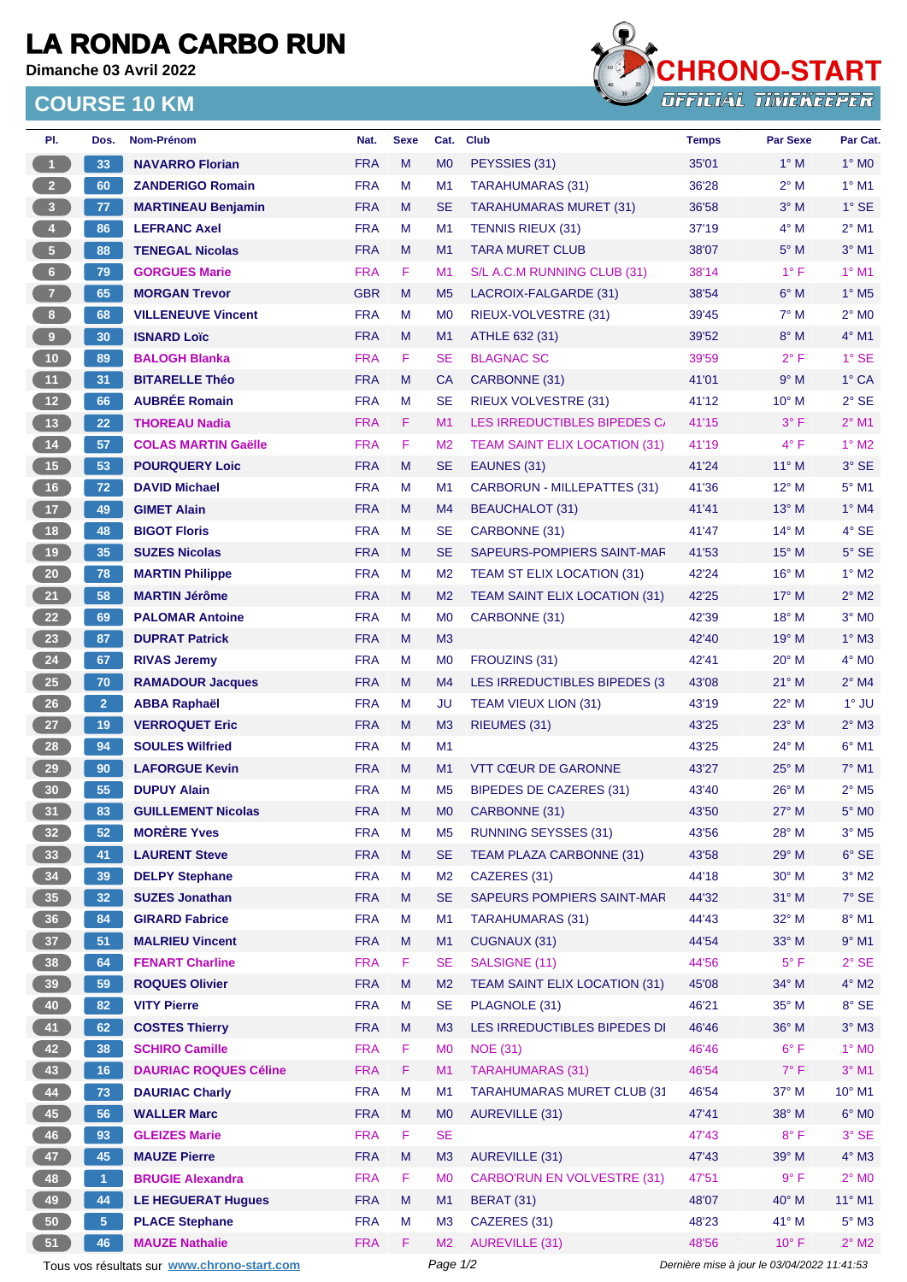## **LA RONDA CARBO RUN**

**Dimanche 03 Avril 2022**

## **COURSE 10 KM**



| PI.                     | Dos.           | Nom-Prénom                                  | Nat.       | <b>Sexe</b> | Cat.           | <b>Club</b>                          | <b>Temps</b>                                | <b>Par Sexe</b> | Par Cat.                   |  |
|-------------------------|----------------|---------------------------------------------|------------|-------------|----------------|--------------------------------------|---------------------------------------------|-----------------|----------------------------|--|
| $\mathbf{1}$            | 33             | <b>NAVARRO Florian</b>                      | <b>FRA</b> | M           | M <sub>0</sub> | PEYSSIES (31)                        | 35'01                                       | $1^\circ$ M     | $1^\circ$ MO               |  |
| 2 <sup>7</sup>          | 60             | <b>ZANDERIGO Romain</b>                     | <b>FRA</b> | M           | M1             | TARAHUMARAS (31)                     | 36'28                                       | $2^{\circ}$ M   | $1°$ M1                    |  |
| $\overline{\mathbf{3}}$ | 77             | <b>MARTINEAU Benjamin</b>                   | <b>FRA</b> | M           | <b>SE</b>      | <b>TARAHUMARAS MURET (31)</b>        | 36'58                                       | $3°$ M          | $1^\circ$ SE               |  |
| $\overline{4}$          | 86             | <b>LEFRANC Axel</b>                         | <b>FRA</b> | М           | M <sub>1</sub> | <b>TENNIS RIEUX (31)</b>             | 37'19                                       | $4^\circ$ M     | $2^{\circ}$ M1             |  |
| $\sqrt{5}$              | 88             | <b>TENEGAL Nicolas</b>                      | <b>FRA</b> | M           | M1             | <b>TARA MURET CLUB</b>               | 38'07                                       | $5^\circ$ M     | $3°$ M1                    |  |
| 6                       | 79             | <b>GORGUES Marie</b>                        | <b>FRA</b> | F           | M1             | S/L A.C.M RUNNING CLUB (31)          | 38'14                                       | $1^{\circ}$ F   | $1°$ M1                    |  |
| $\overline{7}$          | 65             | <b>MORGAN Trevor</b>                        | <b>GBR</b> | M           | M <sub>5</sub> | LACROIX-FALGARDE (31)                | 38'54                                       | $6^\circ$ M     | $1^\circ$ M <sub>5</sub>   |  |
| 8 <sup>1</sup>          | 68             | <b>VILLENEUVE Vincent</b>                   | <b>FRA</b> | M           | M <sub>0</sub> | RIEUX-VOLVESTRE (31)                 | 39'45                                       | $7^\circ$ M     | $2^{\circ}$ MO             |  |
| 9                       | 30             | <b>ISNARD Loïc</b>                          | <b>FRA</b> | M           | M1             | ATHLE 632 (31)                       | 39'52                                       | $8^\circ$ M     | $4^\circ$ M1               |  |
| $10$                    | 89             | <b>BALOGH Blanka</b>                        | <b>FRA</b> | F           | <b>SE</b>      | <b>BLAGNAC SC</b>                    | 39'59                                       | $2^{\circ}$ F   | $1°$ SE                    |  |
| 11                      | 31             | <b>BITARELLE Théo</b>                       | <b>FRA</b> | M           | <b>CA</b>      | CARBONNE (31)                        | 41'01                                       | 9° M            | 1° CA                      |  |
| 12 <sup>°</sup>         | 66             | <b>AUBRÉE Romain</b>                        | <b>FRA</b> | М           | <b>SE</b>      | <b>RIEUX VOLVESTRE (31)</b>          | 41'12                                       | 10° M           | $2°$ SE                    |  |
| 13                      | 22             | <b>THOREAU Nadia</b>                        | <b>FRA</b> | F.          | M1             | LES IRREDUCTIBLES BIPEDES C.         | 41'15                                       | $3^{\circ}$ F   | $2^{\circ}$ M1             |  |
| 14                      | 57             | <b>COLAS MARTIN Gaëlle</b>                  | <b>FRA</b> | F           | M <sub>2</sub> | <b>TEAM SAINT ELIX LOCATION (31)</b> | 41'19                                       | $4^{\circ}$ F   | $1^\circ$ M2               |  |
| 15                      | 53             |                                             | <b>FRA</b> | M           | <b>SE</b>      | EAUNES (31)                          | 41'24                                       | $11^{\circ}$ M  | $3°$ SE                    |  |
|                         |                | <b>POURQUERY Loic</b>                       |            |             |                |                                      |                                             |                 |                            |  |
| $16$                    | 72             | <b>DAVID Michael</b>                        | <b>FRA</b> | М           | M <sub>1</sub> | <b>CARBORUN - MILLEPATTES (31)</b>   | 41'36                                       | $12^{\circ}$ M  | $5^\circ$ M1               |  |
| 17 <sub>2</sub>         | 49             | <b>GIMET Alain</b>                          | <b>FRA</b> | M           | M4             | <b>BEAUCHALOT (31)</b>               | 41'41                                       | 13° M           | $1^\circ$ M4               |  |
| 18                      | 48             | <b>BIGOT Floris</b>                         | <b>FRA</b> | м           | <b>SE</b>      | CARBONNE (31)                        | 41'47                                       | $14^{\circ}$ M  | $4^\circ$ SE               |  |
| 19                      | 35             | <b>SUZES Nicolas</b>                        | <b>FRA</b> | M           | <b>SE</b>      | SAPEURS-POMPIERS SAINT-MAF           | 41'53                                       | 15° M           | $5^\circ$ SE               |  |
| $20\phantom{a}$         | 78             | <b>MARTIN Philippe</b>                      | <b>FRA</b> | М           | M <sub>2</sub> | TEAM ST ELIX LOCATION (31)           | 42'24                                       | $16^{\circ}$ M  | $1^\circ$ M2               |  |
| 21                      | 58             | <b>MARTIN Jérôme</b>                        | <b>FRA</b> | M           | M <sub>2</sub> | <b>TEAM SAINT ELIX LOCATION (31)</b> | 42'25                                       | $17^\circ$ M    | $2^{\circ}$ M2             |  |
| 22                      | 69             | <b>PALOMAR Antoine</b>                      | <b>FRA</b> | M           | M <sub>0</sub> | CARBONNE (31)                        | 42'39                                       | 18° M           | $3°$ MO                    |  |
| 23                      | 87             | <b>DUPRAT Patrick</b>                       | <b>FRA</b> | M           | M <sub>3</sub> |                                      | 42'40                                       | 19° M           | $1^\circ$ M3               |  |
| 24                      | 67             | <b>RIVAS Jeremy</b>                         | <b>FRA</b> | М           | M <sub>0</sub> | FROUZINS (31)                        | 42'41                                       | 20° M           | $4^\circ$ MO               |  |
| <b>25</b>               | 70             | <b>RAMADOUR Jacques</b>                     | <b>FRA</b> | M           | M4             | LES IRREDUCTIBLES BIPEDES (3)        | 43'08                                       | $21°$ M         | $2^{\circ}$ M4             |  |
| 26                      | $\overline{2}$ | <b>ABBA Raphaël</b>                         | <b>FRA</b> | М           | JU             | TEAM VIEUX LION (31)                 | 43'19                                       | 22° M           | $1^\circ$ JU               |  |
| 27                      | 19             | <b>VERROQUET Eric</b>                       | <b>FRA</b> | M           | M <sub>3</sub> | RIEUMES (31)                         | 43'25                                       | $23^\circ$ M    | $2^{\circ}$ M3             |  |
| 28                      | 94             | <b>SOULES Wilfried</b>                      | <b>FRA</b> | M           | M1             |                                      | 43'25                                       | 24° M           | $6°$ M1                    |  |
| 29                      | 90             | <b>LAFORGUE Kevin</b>                       | <b>FRA</b> | M           | M1             | <b>VTT CŒUR DE GARONNE</b>           | 43'27                                       | $25^{\circ}$ M  | $7°$ M1                    |  |
| 30                      | 55             | <b>DUPUY Alain</b>                          | <b>FRA</b> | M           | M <sub>5</sub> | <b>BIPEDES DE CAZERES (31)</b>       | 43'40                                       | 26° M           | $2^{\circ}$ M <sub>5</sub> |  |
| 31                      | 83             | <b>GUILLEMENT Nicolas</b>                   | <b>FRA</b> | M           | M <sub>0</sub> | CARBONNE (31)                        | 43'50                                       | $27^\circ$ M    | $5^\circ$ MO               |  |
| 32 <sub>2</sub>         | 52             | <b>MORÈRE Yves</b>                          | <b>FRA</b> | M           | M5             | <b>RUNNING SEYSSES (31)</b>          | 43'56                                       | $28^{\circ}$ M  | $3^\circ$ M5               |  |
| 33                      | 41             | <b>LAURENT Steve</b>                        | <b>FRA</b> | M           | <b>SE</b>      | TEAM PLAZA CARBONNE (31)             | 43'58                                       | 29° M           | $6^\circ$ SE               |  |
| 34                      | 39             | <b>DELPY Stephane</b>                       | <b>FRA</b> | M           | M <sub>2</sub> | CAZERES (31)                         | 44'18                                       | 30° M           | $3^\circ$ M2               |  |
| 35                      | 32             | <b>SUZES Jonathan</b>                       | <b>FRA</b> | M           | <b>SE</b>      | <b>SAPEURS POMPIERS SAINT-MAR</b>    | 44'32                                       | 31° M           | $7°$ SE                    |  |
| 36                      | 84             | <b>GIRARD Fabrice</b>                       | <b>FRA</b> | М           | M1             | <b>TARAHUMARAS (31)</b>              | 44'43                                       | 32° M           | 8° M1                      |  |
| 37 <sup>°</sup>         | 51             | <b>MALRIEU Vincent</b>                      | <b>FRA</b> | M           | M1             | CUGNAUX (31)                         | 44'54                                       | 33° M           | $9°$ M1                    |  |
| 38                      | 64             | <b>FENART Charline</b>                      | <b>FRA</b> | F           | <b>SE</b>      | SALSIGNE (11)                        | 44'56                                       | $5^{\circ}$ F   | $2°$ SE                    |  |
| 39                      | 59             | <b>ROQUES Olivier</b>                       | <b>FRA</b> | M           | M <sub>2</sub> | <b>TEAM SAINT ELIX LOCATION (31)</b> | 45'08                                       | 34° M           | $4^\circ$ M2               |  |
| 40                      | 82             | <b>VITY Pierre</b>                          | <b>FRA</b> | М           | <b>SE</b>      | PLAGNOLE (31)                        | 46'21                                       | 35° M           | 8° SE                      |  |
| 41                      | 62             | <b>COSTES Thierry</b>                       | <b>FRA</b> | M           | M3             | LES IRREDUCTIBLES BIPEDES DI         | 46'46                                       | 36° M           | $3^\circ$ M3               |  |
| 42                      | 38             | <b>SCHIRO Camille</b>                       | <b>FRA</b> | F           | M <sub>0</sub> | <b>NOE (31)</b>                      | 46'46                                       | $6^{\circ}$ F   | $1^\circ$ MO               |  |
| 43                      | 16             | <b>DAURIAC ROQUES Céline</b>                | <b>FRA</b> | F           | M1             | <b>TARAHUMARAS (31)</b>              | 46'54                                       | $7^\circ$ F     | $3°$ M1                    |  |
| 44                      |                | <b>DAURIAC Charly</b>                       | <b>FRA</b> | M           | M1             | <b>TARAHUMARAS MURET CLUB (31)</b>   | 46'54                                       | $37^\circ$ M    | $10^{\circ}$ M1            |  |
|                         | 73             |                                             |            |             |                |                                      |                                             |                 |                            |  |
| 45                      | 56             | <b>WALLER Marc</b>                          | <b>FRA</b> | M           | M <sub>0</sub> | <b>AUREVILLE (31)</b>                | 47'41                                       | 38° M           | $6^\circ$ MO               |  |
| 46                      | 93             | <b>GLEIZES Marie</b>                        | <b>FRA</b> | F           | <b>SE</b>      |                                      | 47'43                                       | $8^{\circ}$ F   | $3°$ SE                    |  |
| 47                      | 45             | <b>MAUZE Pierre</b>                         | <b>FRA</b> | M           | M3             | AUREVILLE (31)                       | 47'43                                       | 39° M           | $4^\circ$ M3               |  |
| 48                      | $\mathbf{1}$   | <b>BRUGIE Alexandra</b>                     | <b>FRA</b> | F           | M <sub>0</sub> | <b>CARBO'RUN EN VOLVESTRE (31)</b>   | 47'51                                       | 9° F            | $2^{\circ}$ MO             |  |
| 49                      | 44             | <b>LE HEGUERAT Hugues</b>                   | <b>FRA</b> | M           | M1             | <b>BERAT (31)</b>                    | 48'07                                       | 40° M           | 11° M1                     |  |
| 50                      | 5 <sup>5</sup> | <b>PLACE Stephane</b>                       | <b>FRA</b> | M           | M <sub>3</sub> | CAZERES (31)                         | 48'23                                       | 41° M           | $5^\circ$ M3               |  |
| 51                      | 46             | <b>MAUZE Nathalie</b>                       | <b>FRA</b> | F           | M <sub>2</sub> | <b>AUREVILLE (31)</b>                | 48'56                                       | $10^{\circ}$ F  | $2^\circ$ M2               |  |
|                         |                | Tous vos résultats sur www.chrono-start.com |            |             | Page 1/2       |                                      | Dernière mise à jour le 03/04/2022 11:41:53 |                 |                            |  |